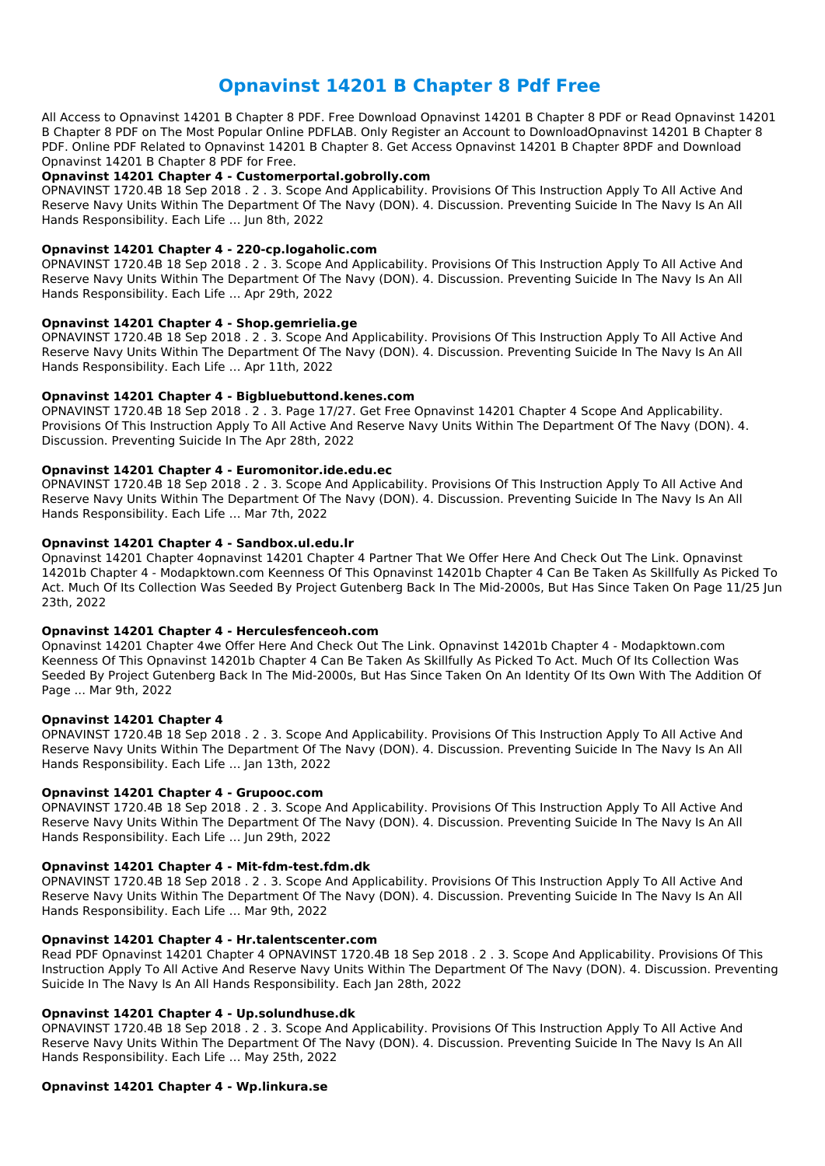# **Opnavinst 14201 B Chapter 8 Pdf Free**

All Access to Opnavinst 14201 B Chapter 8 PDF. Free Download Opnavinst 14201 B Chapter 8 PDF or Read Opnavinst 14201 B Chapter 8 PDF on The Most Popular Online PDFLAB. Only Register an Account to DownloadOpnavinst 14201 B Chapter 8 PDF. Online PDF Related to Opnavinst 14201 B Chapter 8. Get Access Opnavinst 14201 B Chapter 8PDF and Download Opnavinst 14201 B Chapter 8 PDF for Free.

#### **Opnavinst 14201 Chapter 4 - Customerportal.gobrolly.com**

OPNAVINST 1720.4B 18 Sep 2018 . 2 . 3. Scope And Applicability. Provisions Of This Instruction Apply To All Active And Reserve Navy Units Within The Department Of The Navy (DON). 4. Discussion. Preventing Suicide In The Navy Is An All Hands Responsibility. Each Life … Jun 8th, 2022

# **Opnavinst 14201 Chapter 4 - 220-cp.logaholic.com**

OPNAVINST 1720.4B 18 Sep 2018 . 2 . 3. Scope And Applicability. Provisions Of This Instruction Apply To All Active And Reserve Navy Units Within The Department Of The Navy (DON). 4. Discussion. Preventing Suicide In The Navy Is An All Hands Responsibility. Each Life … Apr 29th, 2022

#### **Opnavinst 14201 Chapter 4 - Shop.gemrielia.ge**

OPNAVINST 1720.4B 18 Sep 2018 . 2 . 3. Scope And Applicability. Provisions Of This Instruction Apply To All Active And Reserve Navy Units Within The Department Of The Navy (DON). 4. Discussion. Preventing Suicide In The Navy Is An All Hands Responsibility. Each Life … Apr 11th, 2022

#### **Opnavinst 14201 Chapter 4 - Bigbluebuttond.kenes.com**

OPNAVINST 1720.4B 18 Sep 2018 . 2 . 3. Page 17/27. Get Free Opnavinst 14201 Chapter 4 Scope And Applicability. Provisions Of This Instruction Apply To All Active And Reserve Navy Units Within The Department Of The Navy (DON). 4. Discussion. Preventing Suicide In The Apr 28th, 2022

# **Opnavinst 14201 Chapter 4 - Euromonitor.ide.edu.ec**

OPNAVINST 1720.4B 18 Sep 2018 . 2 . 3. Scope And Applicability. Provisions Of This Instruction Apply To All Active And Reserve Navy Units Within The Department Of The Navy (DON). 4. Discussion. Preventing Suicide In The Navy Is An All Hands Responsibility. Each Life … Mar 7th, 2022

# **Opnavinst 14201 Chapter 4 - Sandbox.ul.edu.lr**

Opnavinst 14201 Chapter 4opnavinst 14201 Chapter 4 Partner That We Offer Here And Check Out The Link. Opnavinst 14201b Chapter 4 - Modapktown.com Keenness Of This Opnavinst 14201b Chapter 4 Can Be Taken As Skillfully As Picked To Act. Much Of Its Collection Was Seeded By Project Gutenberg Back In The Mid-2000s, But Has Since Taken On Page 11/25 Jun 23th, 2022

# **Opnavinst 14201 Chapter 4 - Herculesfenceoh.com**

Opnavinst 14201 Chapter 4we Offer Here And Check Out The Link. Opnavinst 14201b Chapter 4 - Modapktown.com Keenness Of This Opnavinst 14201b Chapter 4 Can Be Taken As Skillfully As Picked To Act. Much Of Its Collection Was Seeded By Project Gutenberg Back In The Mid-2000s, But Has Since Taken On An Identity Of Its Own With The Addition Of Page ... Mar 9th, 2022

# **Opnavinst 14201 Chapter 4**

OPNAVINST 1720.4B 18 Sep 2018 . 2 . 3. Scope And Applicability. Provisions Of This Instruction Apply To All Active And Reserve Navy Units Within The Department Of The Navy (DON). 4. Discussion. Preventing Suicide In The Navy Is An All Hands Responsibility. Each Life … Jan 13th, 2022

# **Opnavinst 14201 Chapter 4 - Grupooc.com**

OPNAVINST 1720.4B 18 Sep 2018 . 2 . 3. Scope And Applicability. Provisions Of This Instruction Apply To All Active And Reserve Navy Units Within The Department Of The Navy (DON). 4. Discussion. Preventing Suicide In The Navy Is An All Hands Responsibility. Each Life … Jun 29th, 2022

# **Opnavinst 14201 Chapter 4 - Mit-fdm-test.fdm.dk**

OPNAVINST 1720.4B 18 Sep 2018 . 2 . 3. Scope And Applicability. Provisions Of This Instruction Apply To All Active And Reserve Navy Units Within The Department Of The Navy (DON). 4. Discussion. Preventing Suicide In The Navy Is An All Hands Responsibility. Each Life … Mar 9th, 2022

#### **Opnavinst 14201 Chapter 4 - Hr.talentscenter.com**

Read PDF Opnavinst 14201 Chapter 4 OPNAVINST 1720.4B 18 Sep 2018 . 2 . 3. Scope And Applicability. Provisions Of This Instruction Apply To All Active And Reserve Navy Units Within The Department Of The Navy (DON). 4. Discussion. Preventing Suicide In The Navy Is An All Hands Responsibility. Each Jan 28th, 2022

#### **Opnavinst 14201 Chapter 4 - Up.solundhuse.dk**

OPNAVINST 1720.4B 18 Sep 2018 . 2 . 3. Scope And Applicability. Provisions Of This Instruction Apply To All Active And Reserve Navy Units Within The Department Of The Navy (DON). 4. Discussion. Preventing Suicide In The Navy Is An All Hands Responsibility. Each Life … May 25th, 2022

**Opnavinst 14201 Chapter 4 - Wp.linkura.se**